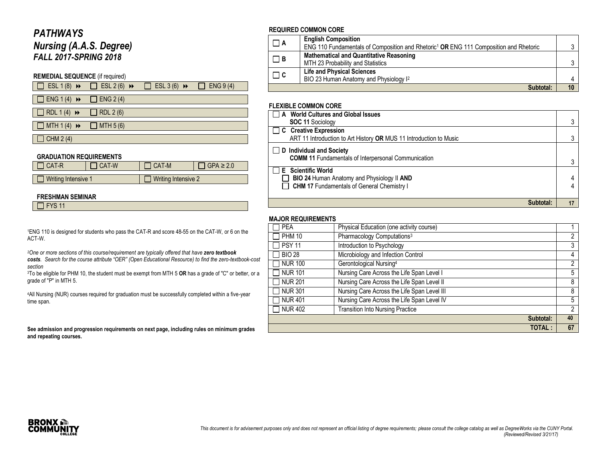# *PATHWAYS*

*Nursing (A.A.S. Degree) FALL 2017-SPRING 2018*

### **REMEDIAL SEQUENCE** (if required)

|  | $\Box$ ESL 1(8) $\rightarrow$ $\Box$ ESL 2(6) $\rightarrow$ $\Box$ ESL 3(6) $\rightarrow$ | $\Box$ ENG 9 (4) |
|--|-------------------------------------------------------------------------------------------|------------------|
|  |                                                                                           |                  |

 $\Box$  ENG 1 (4)  $\rightarrow$   $\Box$  ENG 2 (4)

 $\Box$  RDL 1 (4)  $\leftrightarrow$   $\Box$  RDL 2 (6)

 $\Box$  MTH 1 (4)  $\leftrightarrow$   $\Box$  MTH 5 (6)

 $\Box$  CHM 2 (4)

#### **GRADUATION REQUIREMENTS**

| 1 CAT-R             | l CAT-W | 1 CAT-M                    | $\exists$ GPA $\geq$ 2.0 |
|---------------------|---------|----------------------------|--------------------------|
|                     |         |                            |                          |
| Writing Intensive 1 |         | $\Box$ Writing Intensive 2 |                          |

#### **FRESHMAN SEMINAR**

 $\Box$  FYS 11

<sup>1</sup>ENG 110 is designed for students who pass the CAT-R and score 48-55 on the CAT-W, or 6 on the ACT-W.

*<sup>2</sup>One or more sections of this course/requirement are typically offered that have zero textbook* 

*costs. Search for the course attribute "OER" (Open Educational Resource) to find the zero-textbook-cost section*

<sup>3</sup>To be eligible for PHM 10, the student must be exempt from MTH 5 **OR** has a grade of "C" or better, or a grade of "P" in MTH 5.

<sup>4</sup>All Nursing (NUR) courses required for graduation must be successfully completed within a five-year time span.

**See admission and progression requirements on next page, including rules on minimum grades and repeating courses.**

### **REQUIRED COMMON CORE**

| $\Box$ A | <b>English Composition</b><br>ENG 110 Fundamentals of Composition and Rhetoric <sup>1</sup> OR ENG 111 Composition and Rhetoric |    |
|----------|---------------------------------------------------------------------------------------------------------------------------------|----|
| $\Box$ B | <b>Mathematical and Quantitative Reasoning</b><br>MTH 23 Probability and Statistics                                             |    |
| $\Box$ C | <b>Life and Physical Sciences</b><br>BIO 23 Human Anatomy and Physiology I <sup>2</sup>                                         |    |
|          | Subtotal:                                                                                                                       | 10 |

### **FLEXIBLE COMMON CORE**

| $\overline{\phantom{a}}$ A World Cultures and Global Issues                                   |   |
|-----------------------------------------------------------------------------------------------|---|
| <b>SOC 11 Sociology</b>                                                                       | ົ |
| $\Box$ C Creative Expression                                                                  |   |
| ART 11 Introduction to Art History OR MUS 11 Introduction to Music                            |   |
| $\Box$ D Individual and Society<br><b>COMM 11 Fundamentals of Interpersonal Communication</b> |   |
|                                                                                               |   |
| <b>E</b> Scientific World                                                                     |   |
| BIO 24 Human Anatomy and Physiology II AND                                                    |   |
| CHM 17 Fundamentals of General Chemistry I                                                    |   |
|                                                                                               |   |
|                                                                                               |   |

### **MAJOR REQUIREMENTS**

| <b>PEA</b>     | Physical Education (one activity course)    |    |
|----------------|---------------------------------------------|----|
| <b>PHM 10</b>  | Pharmacology Computations <sup>3</sup>      | 2  |
| <b>PSY 11</b>  | Introduction to Psychology                  | 3  |
| <b>BIO 28</b>  | Microbiology and Infection Control          | 4  |
| <b>NUR 100</b> | Gerontological Nursing <sup>4</sup>         | 2  |
| <b>NUR 101</b> | Nursing Care Across the Life Span Level I   | 5  |
| <b>NUR 201</b> | Nursing Care Across the Life Span Level II  | 8  |
| <b>NUR 301</b> | Nursing Care Across the Life Span Level III | 8  |
| <b>NUR 401</b> | Nursing Care Across the Life Span Level IV  | 5  |
| <b>NUR 402</b> | <b>Transition Into Nursing Practice</b>     | 2  |
|                | Subtotal:                                   | 40 |
|                | <b>TOTAL:</b>                               |    |